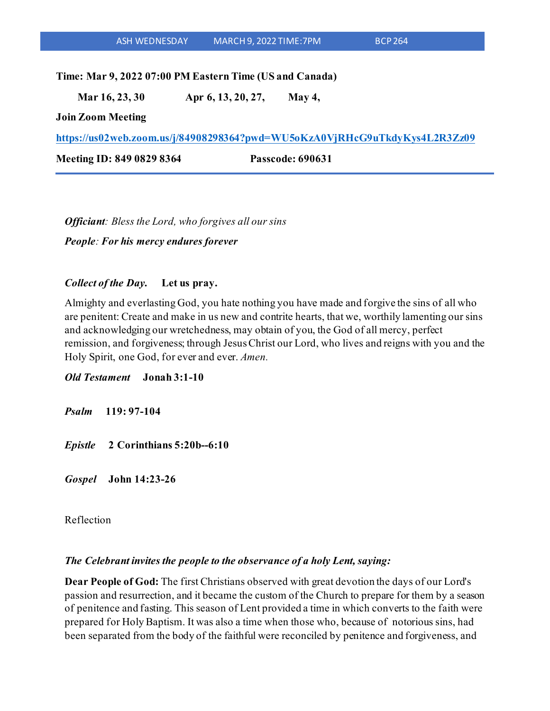### **Time: Mar 9, 2022 07:00 PM Eastern Time (US and Canada)**

 **Mar 16, 23, 30 Apr 6, 13, 20, 27, May 4,** 

**Join Zoom Meeting**

**<https://us02web.zoom.us/j/84908298364?pwd=WU5oKzA0VjRHcG9uTkdyKys4L2R3Zz09>**

**Meeting ID: 849 0829 8364 Passcode: 690631**

*Officiant: Bless the Lord, who forgives all our sins*

*People: For his mercy endures forever*

## *Collect of the Day.* **Let us pray.**

Almighty and everlasting God, you hate nothing you have made and forgive the sins of all who are penitent: Create and make in us new and contrite hearts, that we, worthily lamenting our sins and acknowledging our wretchedness, may obtain of you, the God of all mercy, perfect remission, and forgiveness; through Jesus Christ our Lord, who lives and reigns with you and the Holy Spirit, one God, for ever and ever. *Amen.*

*Old Testament* **Jonah 3:1-10**

*Psalm* **119: 97-104**

*Epistle* **2 Corinthians 5:20b--6:10** 

*Gospel* **John 14:23-26**

Reflection

### *The Celebrant invites the people to the observance of a holy Lent, saying:*

**Dear People of God:** The first Christians observed with great devotion the days of our Lord's passion and resurrection, and it became the custom of the Church to prepare for them by a season of penitence and fasting. This season of Lent provided a time in which converts to the faith were prepared for Holy Baptism. It was also a time when those who, because of notorious sins, had been separated from the body of the faithful were reconciled by penitence and forgiveness, and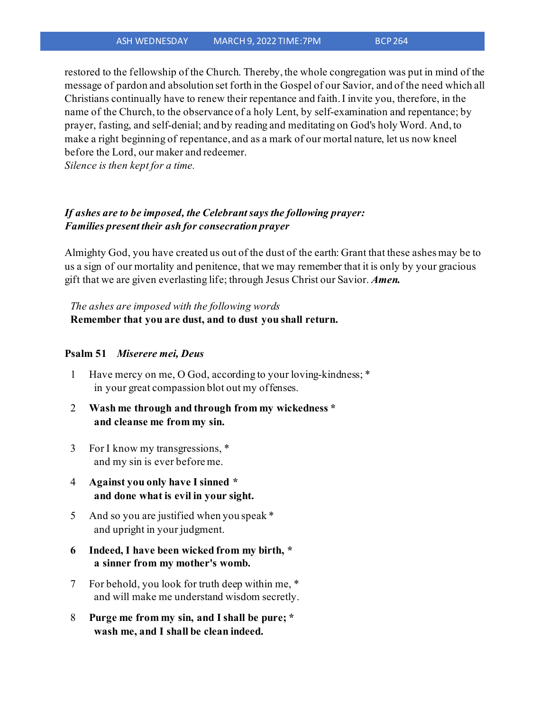restored to the fellowship of the Church. Thereby, the whole congregation was put in mind of the message of pardon and absolution set forth in the Gospel of our Savior, and of the need which all Christians continually have to renew their repentance and faith.I invite you, therefore, in the name of the Church, to the observance of a holy Lent, by self-examination and repentance; by prayer, fasting, and self-denial; and by reading and meditating on God's holy Word. And, to make a right beginning of repentance, and as a mark of our mortal nature, let us now kneel before the Lord, our maker and redeemer.

*Silence is then kept for a time.*

# *If ashes are to be imposed, the Celebrant says the following prayer: Families present their ash for consecration prayer*

Almighty God, you have created us out of the dust of the earth: Grant that these ashes may be to us a sign of our mortality and penitence, that we may remember that it is only by your gracious gift that we are given everlasting life; through Jesus Christ our Savior. *Amen.*

# *The ashes are imposed with the following words* **Remember that you are dust, and to dust you shall return.**

#### **Psalm 51** *Miserere mei, Deus*

- 1 Have mercy on me, O God, according to your loving-kindness; \* in your great compassion blot out my offenses.
- 2 **Wash me through and through from my wickedness \* and cleanse me from my sin.**
- 3 For I know my transgressions, \* and my sin is ever before me.
- 4 **Against you only have I sinned \* and done what is evil in your sight.**
- 5 And so you are justified when you speak \* and upright in your judgment.
- **6 Indeed, I have been wicked from my birth, \* a sinner from my mother's womb.**
- 7 For behold, you look for truth deep within me, \* and will make me understand wisdom secretly.
- 8 **Purge me from my sin, and I shall be pure; \* wash me, and I shall be clean indeed.**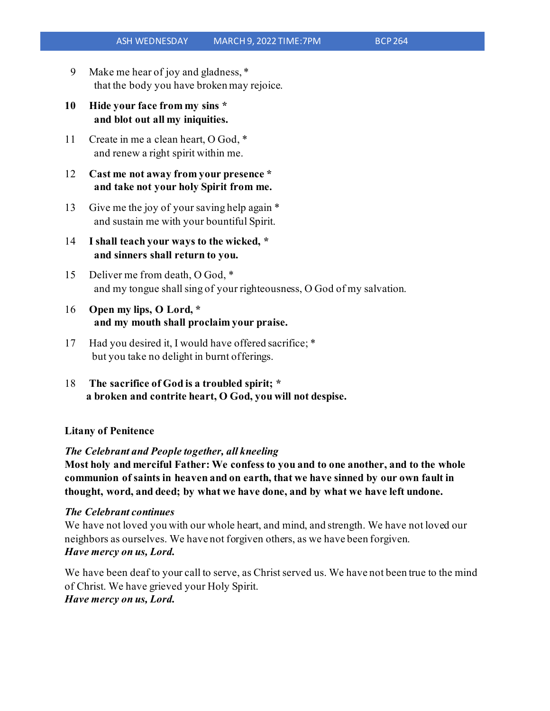- 9 Make me hear of joy and gladness, \* that the body you have broken may rejoice.
- **10 Hide your face from my sins \* and blot out all my iniquities.**
- 11 Create in me a clean heart, O God, \* and renew a right spirit within me.
- 12 **Cast me not away from your presence \* and take not your holy Spirit from me.**
- 13 Give me the joy of your saving help again \* and sustain me with your bountiful Spirit.
- 14 **I shall teach your ways to the wicked, \* and sinners shall return to you.**
- 15 Deliver me from death, O God, \* and my tongue shall sing of your righteousness, O God of my salvation.
- 16 **Open my lips, O Lord, \* and my mouth shall proclaim your praise.**
- 17 Had you desired it, I would have offered sacrifice; \* but you take no delight in burnt offerings.
- 18 **The sacrifice of God is a troubled spirit; \* a broken and contrite heart, O God, you will not despise.**

### **Litany of Penitence**

### *The Celebrant and People together, all kneeling*

**Most holy and merciful Father: We confess to you and to one another, and to the whole communion of saints in heaven and on earth, that we have sinned by our own fault in thought, word, and deed; by what we have done, and by what we have left undone.**

#### *The Celebrant continues*

We have not loved you with our whole heart, and mind, and strength. We have not loved our neighbors as ourselves. We have not forgiven others, as we have been forgiven. *Have mercy on us, Lord.*

We have been deaf to your call to serve, as Christ served us. We have not been true to the mind of Christ. We have grieved your Holy Spirit. *Have mercy on us, Lord.*